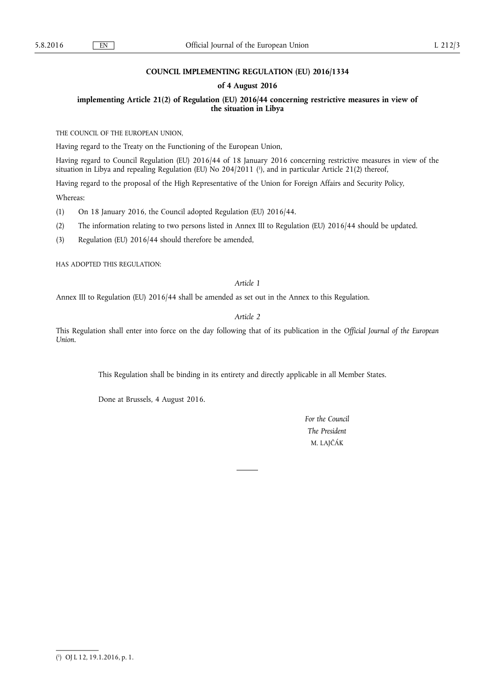## **COUNCIL IMPLEMENTING REGULATION (EU) 2016/1334**

## **of 4 August 2016**

**implementing Article 21(2) of Regulation (EU) 2016/44 concerning restrictive measures in view of the situation in Libya** 

THE COUNCIL OF THE EUROPEAN UNION,

Having regard to the Treaty on the Functioning of the European Union,

Having regard to Council Regulation (EU) 2016/44 of 18 January 2016 concerning restrictive measures in view of the situation in Libya and repealing Regulation (EU) No 204/2011 ( 1 ), and in particular Article 21(2) thereof,

Having regard to the proposal of the High Representative of the Union for Foreign Affairs and Security Policy, Whereas:

(1) On 18 January 2016, the Council adopted Regulation (EU) 2016/44.

(2) The information relating to two persons listed in Annex III to Regulation (EU) 2016/44 should be updated.

(3) Regulation (EU) 2016/44 should therefore be amended,

HAS ADOPTED THIS REGULATION:

## *Article 1*

Annex III to Regulation (EU) 2016/44 shall be amended as set out in the Annex to this Regulation.

*Article 2* 

This Regulation shall enter into force on the day following that of its publication in the *Official Journal of the European Union*.

This Regulation shall be binding in its entirety and directly applicable in all Member States.

Done at Brussels, 4 August 2016.

*For the Council The President*  M. LAJČÁK

<sup>(</sup> 1 ) OJ L 12, 19.1.2016, p. 1.